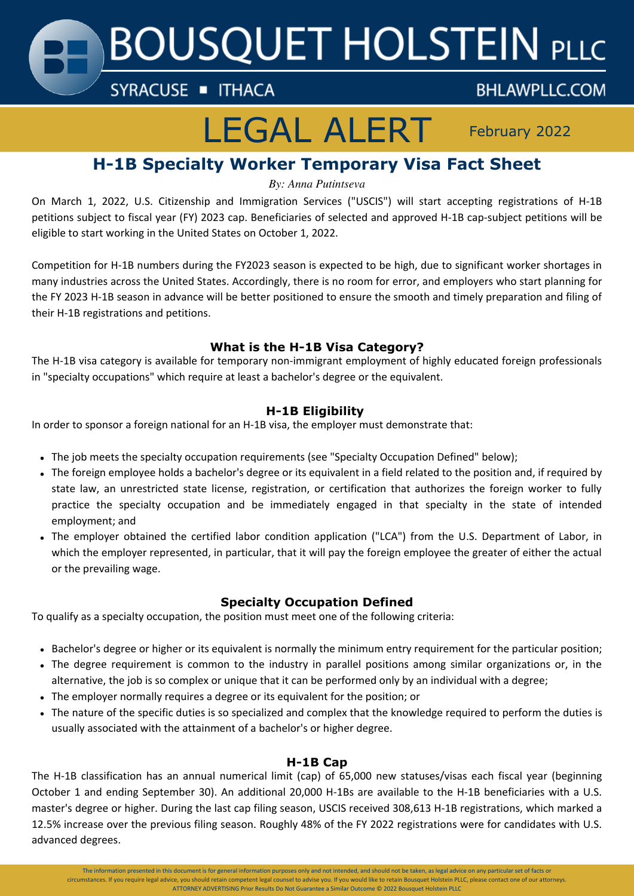**BOUSQUET HOLSTEIN PLLC** 

SYRACUSE THACA

# LEGAL ALERT February 2022

**BHLAWPLLC.COM** 

# **H-1B Specialty Worker Temporary Visa Fact Sheet**

*By: Anna Putintseva*

On March 1, 2022, U.S. Citizenship and Immigration Services ("USCIS") will start accepting registrations of H-1B petitions subject to fiscal year (FY) 2023 cap. Beneficiaries of selected and approved H-1B cap-subject petitions will be eligible to start working in the United States on October 1, 2022.

Competition for H-1B numbers during the FY2023 season is expected to be high, due to significant worker shortages in many industries across the United States. Accordingly, there is no room for error, and employers who start planning for the FY 2023 H-1B season in advance will be better positioned to ensure the smooth and timely preparation and filing of their H-1B registrations and petitions.

# **What is the H-1B Visa Category?**

The H-1B visa category is available for temporary non-immigrant employment of highly educated foreign professionals in "specialty occupations" which require at least a bachelor's degree or the equivalent.

## **H-1B Eligibility**

In order to sponsor a foreign national for an H-1B visa, the employer must demonstrate that:

- The job meets the specialty occupation requirements (see "Specialty Occupation Defined" below);
- The foreign employee holds a bachelor's degree or its equivalent in a field related to the position and, if required by state law, an unrestricted state license, registration, or certification that authorizes the foreign worker to fully practice the specialty occupation and be immediately engaged in that specialty in the state of intended employment; and
- The employer obtained the certified labor condition application ("LCA") from the U.S. Department of Labor, in which the employer represented, in particular, that it will pay the foreign employee the greater of either the actual or the prevailing wage.

# **Specialty Occupation Defined**

To qualify as a specialty occupation, the position must meet one of the following criteria:

- Bachelor's degree or higher or its equivalent is normally the minimum entry requirement for the particular position;
- The degree requirement is common to the industry in parallel positions among similar organizations or, in the alternative, the job is so complex or unique that it can be performed only by an individual with a degree;
- The employer normally requires a degree or its equivalent for the position; or
- The nature of the specific duties is so specialized and complex that the knowledge required to perform the duties is usually associated with the attainment of a bachelor's or higher degree.

### **H-1B Cap**

The H-1B classification has an annual numerical limit (cap) of 65,000 new statuses/visas each fiscal year (beginning October 1 and ending September 30). An additional 20,000 H-1Bs are available to the H-1B beneficiaries with a U.S. master's degree or higher. During the last cap filing season, USCIS received 308,613 H-1B registrations, which marked a 12.5% increase over the previous filing season. Roughly 48% of the FY 2022 registrations were for candidates with U.S. advanced degrees.